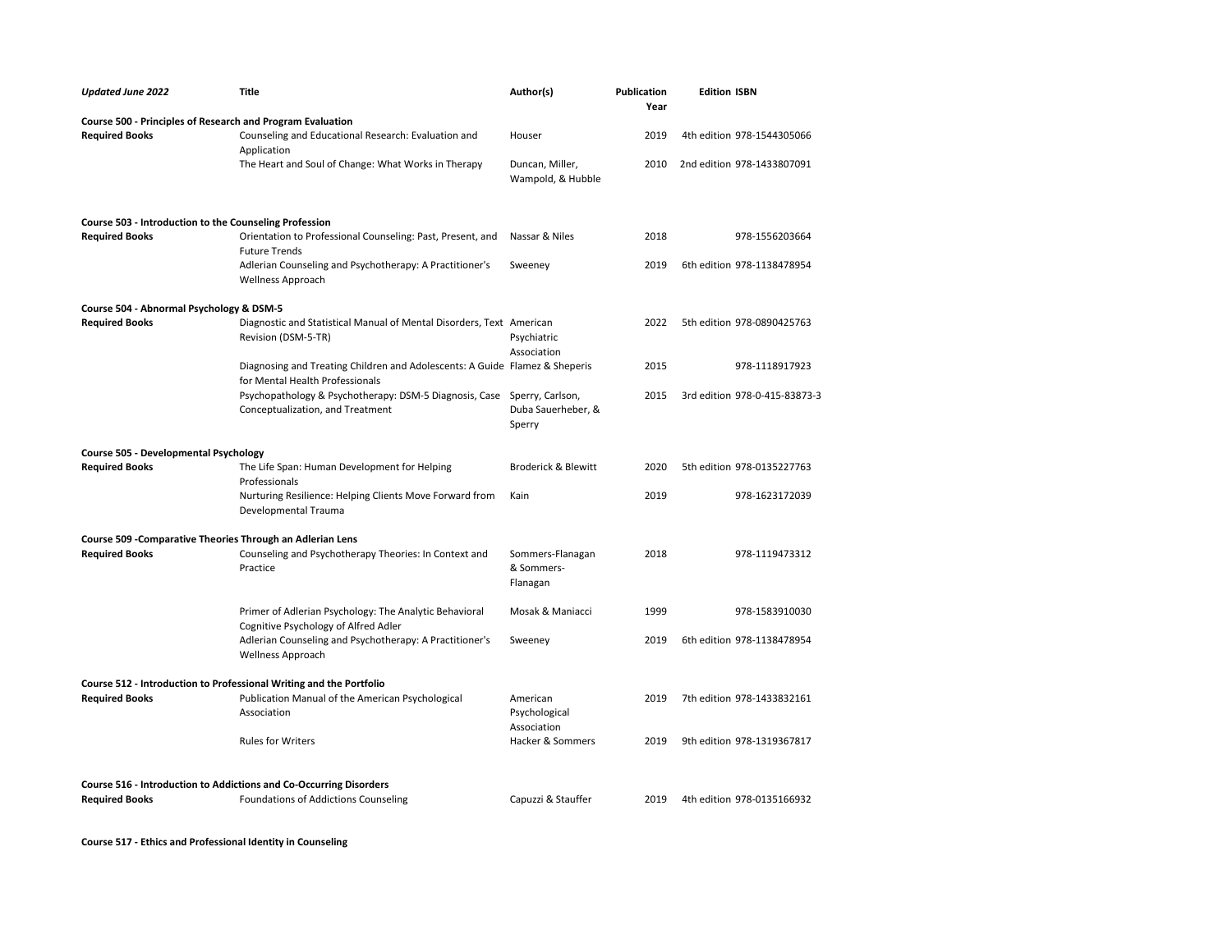| <b>Updated June 2022</b>                                            | <b>Title</b>                                                                                                   | Author(s)                                  | Publication<br>Year | <b>Edition ISBN</b>           |  |
|---------------------------------------------------------------------|----------------------------------------------------------------------------------------------------------------|--------------------------------------------|---------------------|-------------------------------|--|
| Course 500 - Principles of Research and Program Evaluation          |                                                                                                                |                                            |                     |                               |  |
| <b>Required Books</b>                                               | Counseling and Educational Research: Evaluation and<br>Application                                             | Houser                                     | 2019                | 4th edition 978-1544305066    |  |
|                                                                     | The Heart and Soul of Change: What Works in Therapy                                                            | Duncan, Miller,<br>Wampold, & Hubble       | 2010                | 2nd edition 978-1433807091    |  |
| Course 503 - Introduction to the Counseling Profession              |                                                                                                                |                                            |                     |                               |  |
| <b>Required Books</b>                                               | Orientation to Professional Counseling: Past, Present, and<br><b>Future Trends</b>                             | Nassar & Niles                             | 2018                | 978-1556203664                |  |
|                                                                     | Adlerian Counseling and Psychotherapy: A Practitioner's<br><b>Wellness Approach</b>                            | Sweeney                                    | 2019                | 6th edition 978-1138478954    |  |
| Course 504 - Abnormal Psychology & DSM-5                            |                                                                                                                |                                            |                     |                               |  |
| <b>Required Books</b>                                               | Diagnostic and Statistical Manual of Mental Disorders, Text American<br>Revision (DSM-5-TR)                    | Psychiatric<br>Association                 | 2022                | 5th edition 978-0890425763    |  |
|                                                                     | Diagnosing and Treating Children and Adolescents: A Guide Flamez & Sheperis<br>for Mental Health Professionals |                                            | 2015                | 978-1118917923                |  |
|                                                                     | Psychopathology & Psychotherapy: DSM-5 Diagnosis, Case Sperry, Carlson,<br>Conceptualization, and Treatment    | Duba Sauerheber, &<br>Sperry               | 2015                | 3rd edition 978-0-415-83873-3 |  |
| Course 505 - Developmental Psychology                               |                                                                                                                |                                            |                     |                               |  |
| <b>Required Books</b>                                               | The Life Span: Human Development for Helping<br>Professionals                                                  | <b>Broderick &amp; Blewitt</b>             | 2020                | 5th edition 978-0135227763    |  |
|                                                                     | Nurturing Resilience: Helping Clients Move Forward from<br>Developmental Trauma                                | Kain                                       | 2019                | 978-1623172039                |  |
| Course 509 - Comparative Theories Through an Adlerian Lens          |                                                                                                                |                                            |                     |                               |  |
| <b>Required Books</b>                                               | Counseling and Psychotherapy Theories: In Context and<br>Practice                                              | Sommers-Flanagan<br>& Sommers-<br>Flanagan | 2018                | 978-1119473312                |  |
|                                                                     | Primer of Adlerian Psychology: The Analytic Behavioral<br>Cognitive Psychology of Alfred Adler                 | Mosak & Maniacci                           | 1999                | 978-1583910030                |  |
|                                                                     | Adlerian Counseling and Psychotherapy: A Practitioner's<br>Wellness Approach                                   | Sweeney                                    | 2019                | 6th edition 978-1138478954    |  |
| Course 512 - Introduction to Professional Writing and the Portfolio |                                                                                                                |                                            |                     |                               |  |
| <b>Required Books</b>                                               | Publication Manual of the American Psychological<br>Association                                                | American<br>Psychological<br>Association   | 2019                | 7th edition 978-1433832161    |  |
|                                                                     | <b>Rules for Writers</b>                                                                                       | Hacker & Sommers                           | 2019                | 9th edition 978-1319367817    |  |
| Course 516 - Introduction to Addictions and Co-Occurring Disorders  |                                                                                                                |                                            |                     |                               |  |
| <b>Required Books</b>                                               | Foundations of Addictions Counseling                                                                           | Capuzzi & Stauffer                         | 2019                | 4th edition 978-0135166932    |  |

**Course 517 - Ethics and Professional Identity in Counseling**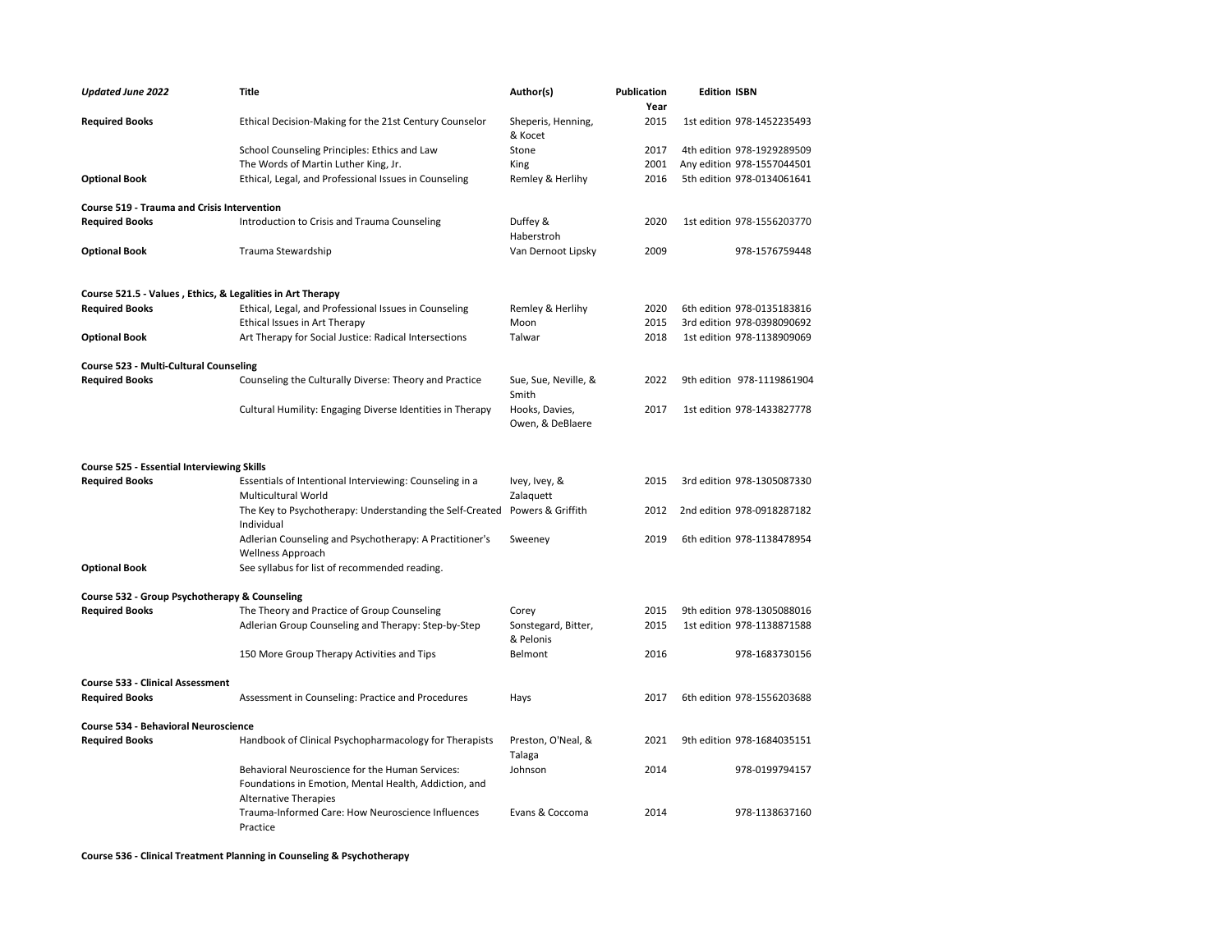| <b>Updated June 2022</b>                                   | Title                                                                                 | Author(s)                          | <b>Publication</b><br>Year | <b>Edition ISBN</b>        |
|------------------------------------------------------------|---------------------------------------------------------------------------------------|------------------------------------|----------------------------|----------------------------|
| <b>Required Books</b>                                      | Ethical Decision-Making for the 21st Century Counselor                                | Sheperis, Henning,<br>& Kocet      | 2015                       | 1st edition 978-1452235493 |
|                                                            | School Counseling Principles: Ethics and Law                                          | Stone                              | 2017                       | 4th edition 978-1929289509 |
|                                                            | The Words of Martin Luther King, Jr.                                                  | King                               | 2001                       | Any edition 978-1557044501 |
| <b>Optional Book</b>                                       | Ethical, Legal, and Professional Issues in Counseling                                 | Remley & Herlihy                   | 2016                       | 5th edition 978-0134061641 |
| Course 519 - Trauma and Crisis Intervention                |                                                                                       |                                    |                            |                            |
| <b>Required Books</b>                                      | Introduction to Crisis and Trauma Counseling                                          | Duffey &<br>Haberstroh             | 2020                       | 1st edition 978-1556203770 |
| <b>Optional Book</b>                                       | Trauma Stewardship                                                                    | Van Dernoot Lipsky                 | 2009                       | 978-1576759448             |
| Course 521.5 - Values, Ethics, & Legalities in Art Therapy |                                                                                       |                                    |                            |                            |
| <b>Required Books</b>                                      | Ethical, Legal, and Professional Issues in Counseling                                 | Remley & Herlihy                   | 2020                       | 6th edition 978-0135183816 |
|                                                            | Ethical Issues in Art Therapy                                                         | Moon                               | 2015                       | 3rd edition 978-0398090692 |
| <b>Optional Book</b>                                       | Art Therapy for Social Justice: Radical Intersections                                 | Talwar                             | 2018                       | 1st edition 978-1138909069 |
| Course 523 - Multi-Cultural Counseling                     |                                                                                       |                                    |                            |                            |
| <b>Required Books</b>                                      | Counseling the Culturally Diverse: Theory and Practice                                | Sue, Sue, Neville, &<br>Smith      | 2022                       | 9th edition 978-1119861904 |
|                                                            | Cultural Humility: Engaging Diverse Identities in Therapy                             | Hooks, Davies,<br>Owen, & DeBlaere | 2017                       | 1st edition 978-1433827778 |
| <b>Course 525 - Essential Interviewing Skills</b>          |                                                                                       |                                    |                            |                            |
| <b>Required Books</b>                                      | Essentials of Intentional Interviewing: Counseling in a                               | Ivey, Ivey, &                      | 2015                       | 3rd edition 978-1305087330 |
|                                                            | Multicultural World                                                                   | Zalaquett                          |                            |                            |
|                                                            | The Key to Psychotherapy: Understanding the Self-Created<br>Individual                | Powers & Griffith                  | 2012                       | 2nd edition 978-0918287182 |
|                                                            | Adlerian Counseling and Psychotherapy: A Practitioner's<br>Wellness Approach          | Sweeney                            | 2019                       | 6th edition 978-1138478954 |
| <b>Optional Book</b>                                       | See syllabus for list of recommended reading.                                         |                                    |                            |                            |
| Course 532 - Group Psychotherapy & Counseling              |                                                                                       |                                    |                            |                            |
| <b>Required Books</b>                                      | The Theory and Practice of Group Counseling                                           | Corey                              | 2015                       | 9th edition 978-1305088016 |
|                                                            | Adlerian Group Counseling and Therapy: Step-by-Step                                   | Sonstegard, Bitter,<br>& Pelonis   | 2015                       | 1st edition 978-1138871588 |
|                                                            | 150 More Group Therapy Activities and Tips                                            | Belmont                            | 2016                       | 978-1683730156             |
| <b>Course 533 - Clinical Assessment</b>                    |                                                                                       |                                    |                            |                            |
| <b>Required Books</b>                                      | Assessment in Counseling: Practice and Procedures                                     | Hays                               | 2017                       | 6th edition 978-1556203688 |
| <b>Course 534 - Behavioral Neuroscience</b>                |                                                                                       |                                    |                            |                            |
| <b>Required Books</b>                                      | Handbook of Clinical Psychopharmacology for Therapists                                | Preston, O'Neal, &<br>Talaga       | 2021                       | 9th edition 978-1684035151 |
|                                                            | Behavioral Neuroscience for the Human Services:                                       | Johnson                            | 2014                       | 978-0199794157             |
|                                                            | Foundations in Emotion, Mental Health, Addiction, and<br><b>Alternative Therapies</b> |                                    |                            |                            |
|                                                            | Trauma-Informed Care: How Neuroscience Influences<br>Practice                         | Evans & Coccoma                    | 2014                       | 978-1138637160             |

**Course 536 - Clinical Treatment Planning in Counseling & Psychotherapy**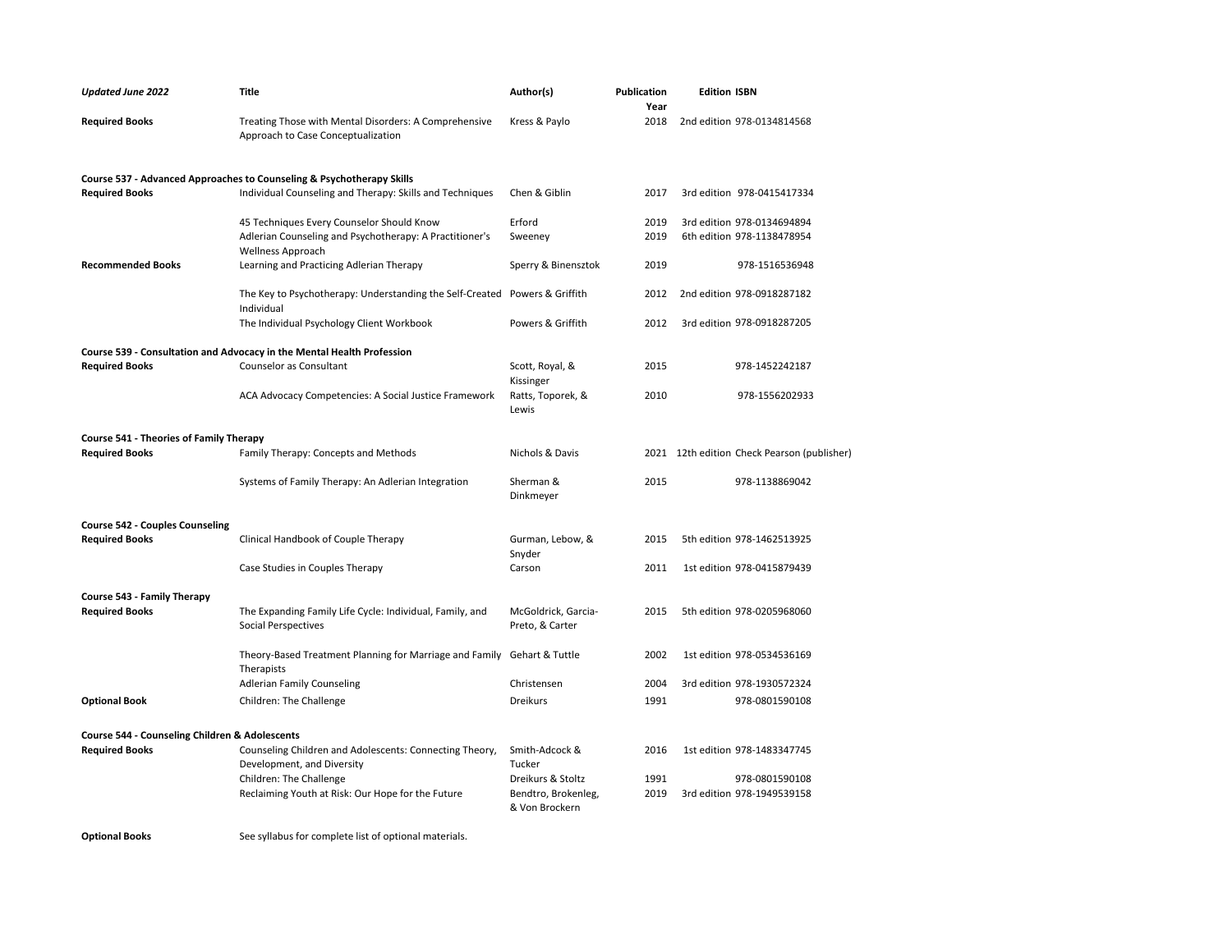| <b>Updated June 2022</b>                       | <b>Title</b>                                                                                | Author(s)                              | <b>Publication</b><br>Year | <b>Edition ISBN</b>                         |
|------------------------------------------------|---------------------------------------------------------------------------------------------|----------------------------------------|----------------------------|---------------------------------------------|
| <b>Required Books</b>                          | Treating Those with Mental Disorders: A Comprehensive<br>Approach to Case Conceptualization | Kress & Paylo                          | 2018                       | 2nd edition 978-0134814568                  |
|                                                | Course 537 - Advanced Approaches to Counseling & Psychotherapy Skills                       |                                        |                            |                                             |
| <b>Required Books</b>                          | Individual Counseling and Therapy: Skills and Techniques                                    | Chen & Giblin                          | 2017                       | 3rd edition 978-0415417334                  |
|                                                | 45 Techniques Every Counselor Should Know                                                   | Erford                                 | 2019                       | 3rd edition 978-0134694894                  |
|                                                | Adlerian Counseling and Psychotherapy: A Practitioner's<br><b>Wellness Approach</b>         | Sweeney                                | 2019                       | 6th edition 978-1138478954                  |
| <b>Recommended Books</b>                       | Learning and Practicing Adlerian Therapy                                                    | Sperry & Binensztok                    | 2019                       | 978-1516536948                              |
|                                                | The Key to Psychotherapy: Understanding the Self-Created Powers & Griffith<br>Individual    |                                        | 2012                       | 2nd edition 978-0918287182                  |
|                                                | The Individual Psychology Client Workbook                                                   | Powers & Griffith                      | 2012                       | 3rd edition 978-0918287205                  |
|                                                | Course 539 - Consultation and Advocacy in the Mental Health Profession                      |                                        |                            |                                             |
| <b>Required Books</b>                          | Counselor as Consultant                                                                     | Scott, Royal, &<br>Kissinger           | 2015                       | 978-1452242187                              |
|                                                | ACA Advocacy Competencies: A Social Justice Framework                                       | Ratts, Toporek, &<br>Lewis             | 2010                       | 978-1556202933                              |
| <b>Course 541 - Theories of Family Therapy</b> |                                                                                             |                                        |                            |                                             |
| <b>Required Books</b>                          | Family Therapy: Concepts and Methods                                                        | Nichols & Davis                        |                            | 2021 12th edition Check Pearson (publisher) |
|                                                | Systems of Family Therapy: An Adlerian Integration                                          | Sherman &<br>Dinkmeyer                 | 2015                       | 978-1138869042                              |
| <b>Course 542 - Couples Counseling</b>         |                                                                                             |                                        |                            |                                             |
| <b>Required Books</b>                          | Clinical Handbook of Couple Therapy                                                         | Gurman, Lebow, &<br>Snyder             | 2015                       | 5th edition 978-1462513925                  |
|                                                | Case Studies in Couples Therapy                                                             | Carson                                 | 2011                       | 1st edition 978-0415879439                  |
| Course 543 - Family Therapy                    |                                                                                             |                                        |                            |                                             |
| <b>Required Books</b>                          | The Expanding Family Life Cycle: Individual, Family, and<br>Social Perspectives             | McGoldrick, Garcia-<br>Preto, & Carter | 2015                       | 5th edition 978-0205968060                  |
|                                                | Theory-Based Treatment Planning for Marriage and Family<br>Therapists                       | Gehart & Tuttle                        | 2002                       | 1st edition 978-0534536169                  |
|                                                | <b>Adlerian Family Counseling</b>                                                           | Christensen                            | 2004                       | 3rd edition 978-1930572324                  |
| <b>Optional Book</b>                           | Children: The Challenge                                                                     | Dreikurs                               | 1991                       | 978-0801590108                              |
| Course 544 - Counseling Children & Adolescents |                                                                                             |                                        |                            |                                             |
| <b>Required Books</b>                          | Counseling Children and Adolescents: Connecting Theory,<br>Development, and Diversity       | Smith-Adcock &<br>Tucker               | 2016                       | 1st edition 978-1483347745                  |
|                                                | Children: The Challenge                                                                     | Dreikurs & Stoltz                      | 1991                       | 978-0801590108                              |
|                                                | Reclaiming Youth at Risk: Our Hope for the Future                                           | Bendtro, Brokenleg,<br>& Von Brockern  | 2019                       | 3rd edition 978-1949539158                  |
|                                                |                                                                                             |                                        |                            |                                             |

**Optional Books** See syllabus for complete list of optional materials.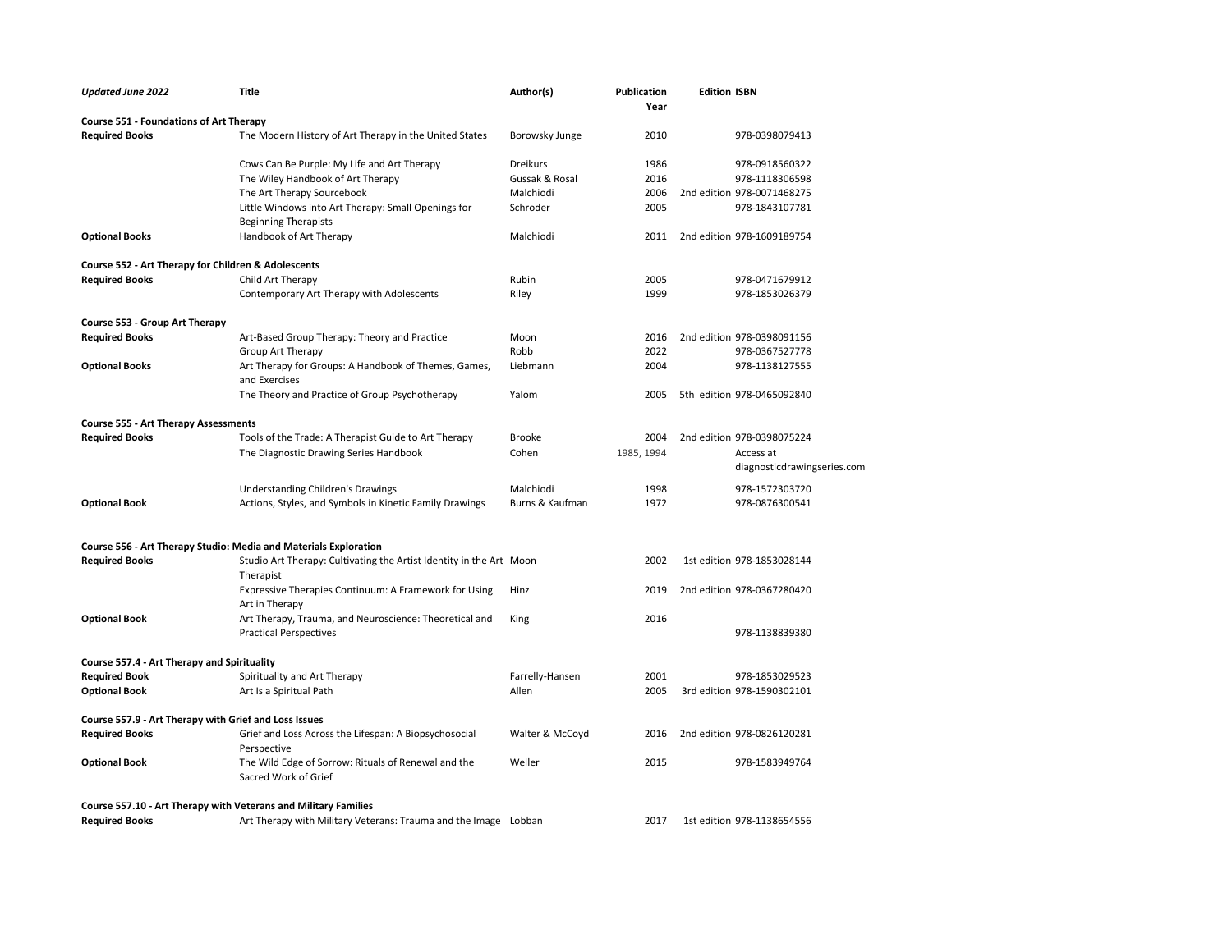| <b>Updated June 2022</b>                                         | <b>Title</b>                                                                     | Author(s)       | <b>Publication</b><br>Year | <b>Edition ISBN</b>                      |
|------------------------------------------------------------------|----------------------------------------------------------------------------------|-----------------|----------------------------|------------------------------------------|
| <b>Course 551 - Foundations of Art Therapy</b>                   |                                                                                  |                 |                            |                                          |
| <b>Required Books</b>                                            | The Modern History of Art Therapy in the United States                           | Borowsky Junge  | 2010                       | 978-0398079413                           |
|                                                                  | Cows Can Be Purple: My Life and Art Therapy                                      | <b>Dreikurs</b> | 1986                       | 978-0918560322                           |
|                                                                  | The Wiley Handbook of Art Therapy                                                | Gussak & Rosal  | 2016                       | 978-1118306598                           |
|                                                                  | The Art Therapy Sourcebook                                                       | Malchiodi       | 2006                       | 2nd edition 978-0071468275               |
|                                                                  | Little Windows into Art Therapy: Small Openings for                              | Schroder        | 2005                       | 978-1843107781                           |
|                                                                  | <b>Beginning Therapists</b>                                                      |                 |                            |                                          |
| <b>Optional Books</b>                                            | Handbook of Art Therapy                                                          | Malchiodi       | 2011                       | 2nd edition 978-1609189754               |
| Course 552 - Art Therapy for Children & Adolescents              |                                                                                  |                 |                            |                                          |
| <b>Required Books</b>                                            | Child Art Therapy                                                                | Rubin           | 2005                       | 978-0471679912                           |
|                                                                  | Contemporary Art Therapy with Adolescents                                        | Riley           | 1999                       | 978-1853026379                           |
| Course 553 - Group Art Therapy                                   |                                                                                  |                 |                            |                                          |
| <b>Required Books</b>                                            | Art-Based Group Therapy: Theory and Practice                                     | Moon            | 2016                       | 2nd edition 978-0398091156               |
|                                                                  | Group Art Therapy                                                                | Robb            | 2022                       | 978-0367527778                           |
| <b>Optional Books</b>                                            | Art Therapy for Groups: A Handbook of Themes, Games,                             | Liebmann        | 2004                       | 978-1138127555                           |
|                                                                  | and Exercises                                                                    |                 |                            |                                          |
|                                                                  | The Theory and Practice of Group Psychotherapy                                   | Yalom           | 2005                       | 5th edition 978-0465092840               |
| <b>Course 555 - Art Therapy Assessments</b>                      |                                                                                  |                 |                            |                                          |
| <b>Required Books</b>                                            | Tools of the Trade: A Therapist Guide to Art Therapy                             | <b>Brooke</b>   | 2004                       | 2nd edition 978-0398075224               |
|                                                                  | The Diagnostic Drawing Series Handbook                                           | Cohen           | 1985, 1994                 | Access at<br>diagnosticdrawingseries.com |
|                                                                  | <b>Understanding Children's Drawings</b>                                         | Malchiodi       | 1998                       | 978-1572303720                           |
| <b>Optional Book</b>                                             | Actions, Styles, and Symbols in Kinetic Family Drawings                          | Burns & Kaufman | 1972                       | 978-0876300541                           |
|                                                                  |                                                                                  |                 |                            |                                          |
| Course 556 - Art Therapy Studio: Media and Materials Exploration |                                                                                  |                 |                            |                                          |
| <b>Required Books</b>                                            | Studio Art Therapy: Cultivating the Artist Identity in the Art Moon<br>Therapist |                 | 2002                       | 1st edition 978-1853028144               |
|                                                                  | Expressive Therapies Continuum: A Framework for Using<br>Art in Therapy          | Hinz            | 2019                       | 2nd edition 978-0367280420               |
| <b>Optional Book</b>                                             | Art Therapy, Trauma, and Neuroscience: Theoretical and                           | King            | 2016                       |                                          |
|                                                                  | <b>Practical Perspectives</b>                                                    |                 |                            | 978-1138839380                           |
| Course 557.4 - Art Therapy and Spirituality                      |                                                                                  |                 |                            |                                          |
| <b>Required Book</b>                                             | Spirituality and Art Therapy                                                     | Farrelly-Hansen | 2001                       | 978-1853029523                           |
| <b>Optional Book</b>                                             | Art Is a Spiritual Path                                                          | Allen           | 2005                       | 3rd edition 978-1590302101               |
| Course 557.9 - Art Therapy with Grief and Loss Issues            |                                                                                  |                 |                            |                                          |
| <b>Required Books</b>                                            | Grief and Loss Across the Lifespan: A Biopsychosocial                            | Walter & McCoyd | 2016                       | 2nd edition 978-0826120281               |
|                                                                  | Perspective                                                                      |                 |                            |                                          |
| <b>Optional Book</b>                                             | The Wild Edge of Sorrow: Rituals of Renewal and the<br>Sacred Work of Grief      | Weller          | 2015                       | 978-1583949764                           |
| Course 557.10 - Art Therapy with Veterans and Military Families  |                                                                                  |                 |                            |                                          |
| <b>Required Books</b>                                            | Art Therapy with Military Veterans: Trauma and the Image Lobban                  |                 | 2017                       | 1st edition 978-1138654556               |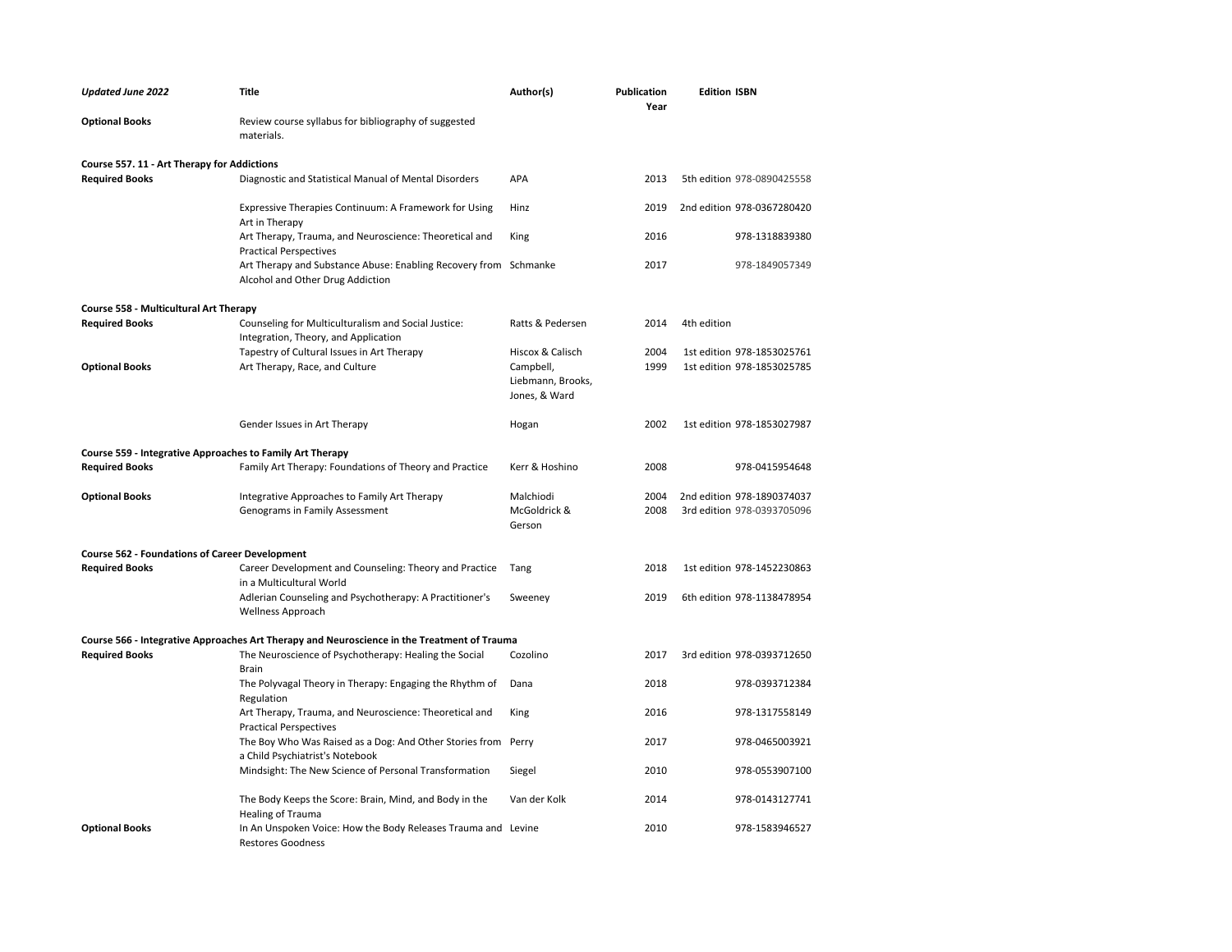| <b>Updated June 2022</b>                                  | <b>Title</b>                                                                                         | Author(s)                                       | <b>Publication</b><br>Year | <b>Edition ISBN</b>        |
|-----------------------------------------------------------|------------------------------------------------------------------------------------------------------|-------------------------------------------------|----------------------------|----------------------------|
| <b>Optional Books</b>                                     | Review course syllabus for bibliography of suggested<br>materials.                                   |                                                 |                            |                            |
| Course 557. 11 - Art Therapy for Addictions               |                                                                                                      |                                                 |                            |                            |
| <b>Required Books</b>                                     | Diagnostic and Statistical Manual of Mental Disorders                                                | APA                                             | 2013                       | 5th edition 978-0890425558 |
|                                                           | Expressive Therapies Continuum: A Framework for Using<br>Art in Therapy                              | Hinz                                            | 2019                       | 2nd edition 978-0367280420 |
|                                                           | Art Therapy, Trauma, and Neuroscience: Theoretical and<br><b>Practical Perspectives</b>              | King                                            | 2016                       | 978-1318839380             |
|                                                           | Art Therapy and Substance Abuse: Enabling Recovery from Schmanke<br>Alcohol and Other Drug Addiction |                                                 | 2017                       | 978-1849057349             |
| Course 558 - Multicultural Art Therapy                    |                                                                                                      |                                                 |                            |                            |
| <b>Required Books</b>                                     | Counseling for Multiculturalism and Social Justice:<br>Integration, Theory, and Application          | Ratts & Pedersen                                | 2014                       | 4th edition                |
|                                                           | Tapestry of Cultural Issues in Art Therapy                                                           | Hiscox & Calisch                                | 2004                       | 1st edition 978-1853025761 |
| <b>Optional Books</b>                                     | Art Therapy, Race, and Culture                                                                       | Campbell,<br>Liebmann, Brooks,<br>Jones, & Ward | 1999                       | 1st edition 978-1853025785 |
|                                                           | Gender Issues in Art Therapy                                                                         | Hogan                                           | 2002                       | 1st edition 978-1853027987 |
| Course 559 - Integrative Approaches to Family Art Therapy |                                                                                                      |                                                 |                            |                            |
| <b>Required Books</b>                                     | Family Art Therapy: Foundations of Theory and Practice                                               | Kerr & Hoshino                                  | 2008                       | 978-0415954648             |
| <b>Optional Books</b>                                     | Integrative Approaches to Family Art Therapy                                                         | Malchiodi                                       | 2004                       | 2nd edition 978-1890374037 |
|                                                           | Genograms in Family Assessment                                                                       | McGoldrick &<br>Gerson                          | 2008                       | 3rd edition 978-0393705096 |
| <b>Course 562 - Foundations of Career Development</b>     |                                                                                                      |                                                 |                            |                            |
| <b>Required Books</b>                                     | Career Development and Counseling: Theory and Practice<br>in a Multicultural World                   | Tang                                            | 2018                       | 1st edition 978-1452230863 |
|                                                           | Adlerian Counseling and Psychotherapy: A Practitioner's<br><b>Wellness Approach</b>                  | Sweeney                                         | 2019                       | 6th edition 978-1138478954 |
|                                                           | Course 566 - Integrative Approaches Art Therapy and Neuroscience in the Treatment of Trauma          |                                                 |                            |                            |
| <b>Required Books</b>                                     | The Neuroscience of Psychotherapy: Healing the Social<br>Brain                                       | Cozolino                                        | 2017                       | 3rd edition 978-0393712650 |
|                                                           | The Polyvagal Theory in Therapy: Engaging the Rhythm of<br>Regulation                                | Dana                                            | 2018                       | 978-0393712384             |
|                                                           | Art Therapy, Trauma, and Neuroscience: Theoretical and<br><b>Practical Perspectives</b>              | King                                            | 2016                       | 978-1317558149             |
|                                                           | The Boy Who Was Raised as a Dog: And Other Stories from Perry<br>a Child Psychiatrist's Notebook     |                                                 | 2017                       | 978-0465003921             |
|                                                           | Mindsight: The New Science of Personal Transformation                                                | Siegel                                          | 2010                       | 978-0553907100             |
|                                                           | The Body Keeps the Score: Brain, Mind, and Body in the<br>Healing of Trauma                          | Van der Kolk                                    | 2014                       | 978-0143127741             |
| <b>Optional Books</b>                                     | In An Unspoken Voice: How the Body Releases Trauma and Levine<br><b>Restores Goodness</b>            |                                                 | 2010                       | 978-1583946527             |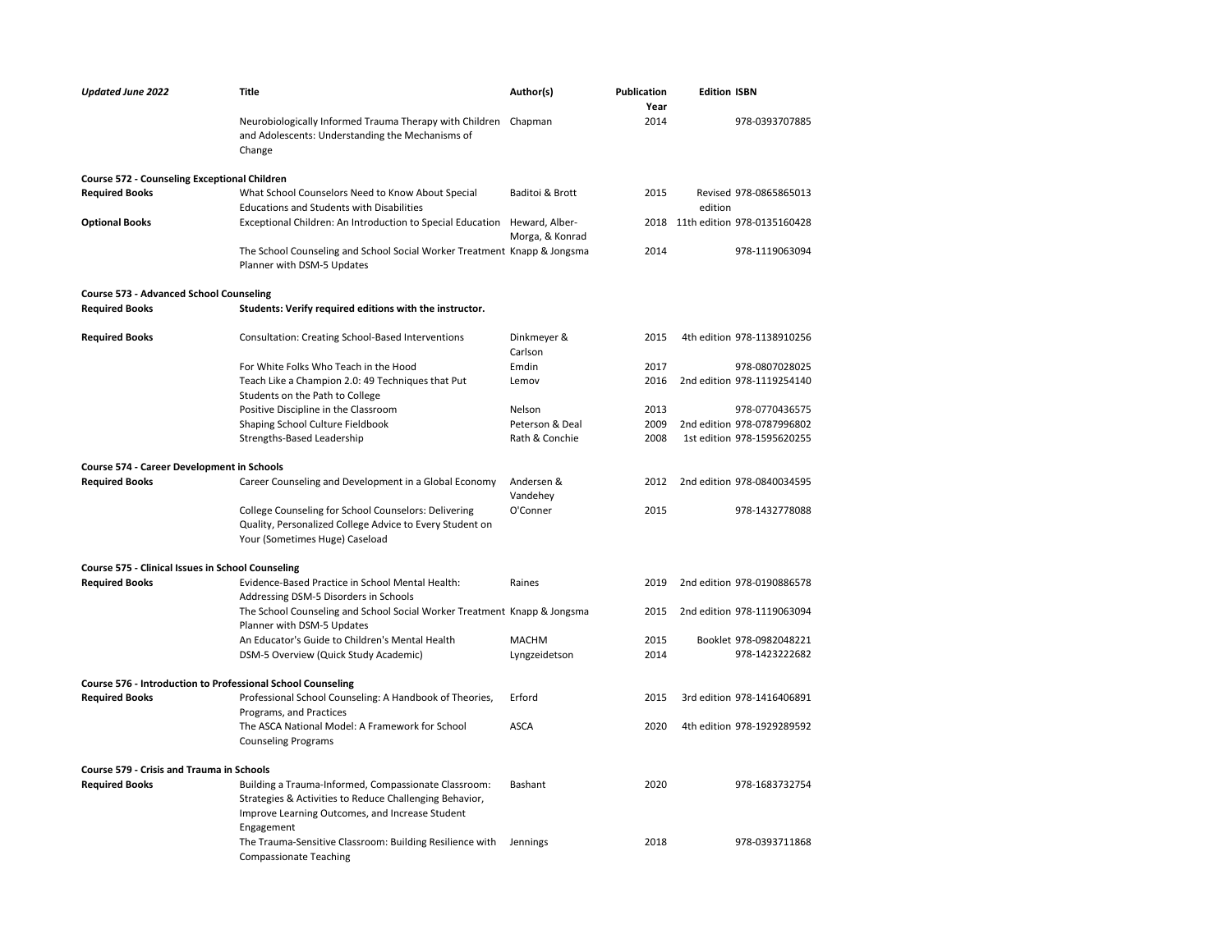| <b>Updated June 2022</b>                                           | Title                                                                                                                                              | Author(s)              | <b>Publication</b><br>Year | <b>Edition ISBN</b>               |
|--------------------------------------------------------------------|----------------------------------------------------------------------------------------------------------------------------------------------------|------------------------|----------------------------|-----------------------------------|
|                                                                    | Neurobiologically Informed Trauma Therapy with Children Chapman<br>and Adolescents: Understanding the Mechanisms of<br>Change                      |                        | 2014                       | 978-0393707885                    |
| <b>Course 572 - Counseling Exceptional Children</b>                |                                                                                                                                                    |                        |                            |                                   |
| <b>Required Books</b>                                              | What School Counselors Need to Know About Special<br><b>Educations and Students with Disabilities</b>                                              | Baditoi & Brott        | 2015                       | Revised 978-0865865013<br>edition |
| <b>Optional Books</b>                                              | Exceptional Children: An Introduction to Special Education Heward, Alber-                                                                          | Morga, & Konrad        |                            | 2018 11th edition 978-0135160428  |
|                                                                    | The School Counseling and School Social Worker Treatment Knapp & Jongsma<br>Planner with DSM-5 Updates                                             |                        | 2014                       | 978-1119063094                    |
| <b>Course 573 - Advanced School Counseling</b>                     |                                                                                                                                                    |                        |                            |                                   |
| <b>Required Books</b>                                              | Students: Verify required editions with the instructor.                                                                                            |                        |                            |                                   |
| <b>Required Books</b>                                              | Consultation: Creating School-Based Interventions                                                                                                  | Dinkmeyer &<br>Carlson | 2015                       | 4th edition 978-1138910256        |
|                                                                    | For White Folks Who Teach in the Hood                                                                                                              | Emdin                  | 2017                       | 978-0807028025                    |
|                                                                    | Teach Like a Champion 2.0: 49 Techniques that Put<br>Students on the Path to College                                                               | Lemov                  | 2016                       | 2nd edition 978-1119254140        |
|                                                                    | Positive Discipline in the Classroom                                                                                                               | Nelson                 | 2013                       | 978-0770436575                    |
|                                                                    | Shaping School Culture Fieldbook                                                                                                                   | Peterson & Deal        | 2009                       | 2nd edition 978-0787996802        |
|                                                                    | Strengths-Based Leadership                                                                                                                         | Rath & Conchie         | 2008                       | 1st edition 978-1595620255        |
| Course 574 - Career Development in Schools                         |                                                                                                                                                    |                        |                            |                                   |
| <b>Required Books</b>                                              | Career Counseling and Development in a Global Economy                                                                                              | Andersen &<br>Vandehey | 2012                       | 2nd edition 978-0840034595        |
|                                                                    | College Counseling for School Counselors: Delivering<br>Quality, Personalized College Advice to Every Student on<br>Your (Sometimes Huge) Caseload | O'Conner               | 2015                       | 978-1432778088                    |
| Course 575 - Clinical Issues in School Counseling                  |                                                                                                                                                    |                        |                            |                                   |
| <b>Required Books</b>                                              | Evidence-Based Practice in School Mental Health:<br>Addressing DSM-5 Disorders in Schools                                                          | Raines                 | 2019                       | 2nd edition 978-0190886578        |
|                                                                    | The School Counseling and School Social Worker Treatment Knapp & Jongsma<br>Planner with DSM-5 Updates                                             |                        | 2015                       | 2nd edition 978-1119063094        |
|                                                                    | An Educator's Guide to Children's Mental Health                                                                                                    | <b>MACHM</b>           | 2015                       | Booklet 978-0982048221            |
|                                                                    | DSM-5 Overview (Quick Study Academic)                                                                                                              | Lyngzeidetson          | 2014                       | 978-1423222682                    |
| <b>Course 576 - Introduction to Professional School Counseling</b> |                                                                                                                                                    |                        |                            |                                   |
| <b>Required Books</b>                                              | Professional School Counseling: A Handbook of Theories,                                                                                            | Erford                 | 2015                       | 3rd edition 978-1416406891        |
|                                                                    | Programs, and Practices                                                                                                                            |                        |                            |                                   |
|                                                                    | The ASCA National Model: A Framework for School<br><b>Counseling Programs</b>                                                                      | <b>ASCA</b>            | 2020                       | 4th edition 978-1929289592        |
| Course 579 - Crisis and Trauma in Schools                          |                                                                                                                                                    |                        |                            |                                   |
| <b>Required Books</b>                                              | Building a Trauma-Informed, Compassionate Classroom:                                                                                               | Bashant                | 2020                       | 978-1683732754                    |
|                                                                    | Strategies & Activities to Reduce Challenging Behavior,<br>Improve Learning Outcomes, and Increase Student<br>Engagement                           |                        |                            |                                   |
|                                                                    | The Trauma-Sensitive Classroom: Building Resilience with<br><b>Compassionate Teaching</b>                                                          | Jennings               | 2018                       | 978-0393711868                    |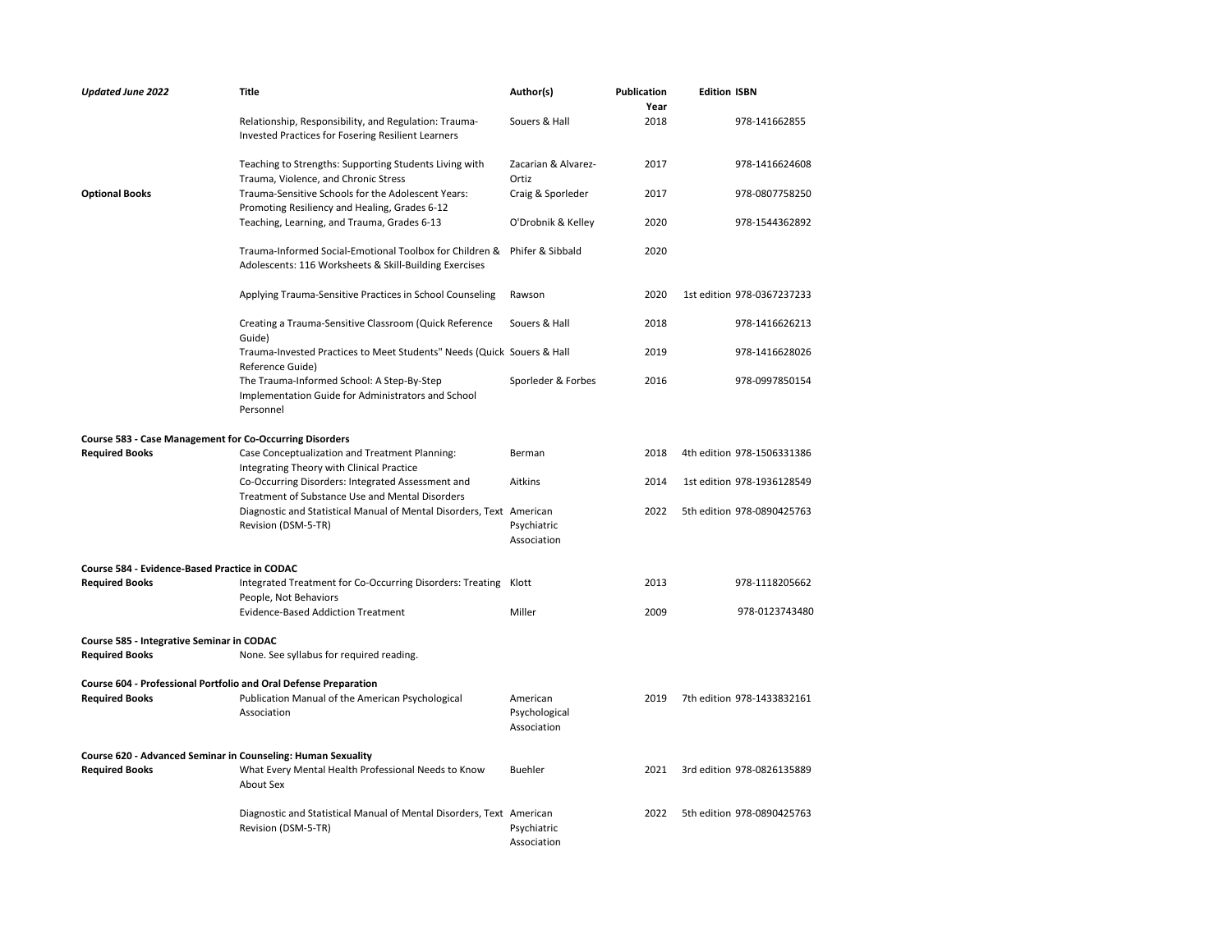| <b>Updated June 2022</b>                                         | Title                                                                                                                                          | Author(s)                    | <b>Publication</b><br>Year | <b>Edition ISBN</b>        |
|------------------------------------------------------------------|------------------------------------------------------------------------------------------------------------------------------------------------|------------------------------|----------------------------|----------------------------|
|                                                                  | Relationship, Responsibility, and Regulation: Trauma-<br>Invested Practices for Fosering Resilient Learners                                    | Souers & Hall                | 2018                       | 978-141662855              |
|                                                                  | Teaching to Strengths: Supporting Students Living with<br>Trauma, Violence, and Chronic Stress                                                 | Zacarian & Alvarez-<br>Ortiz | 2017                       | 978-1416624608             |
| <b>Optional Books</b>                                            | Trauma-Sensitive Schools for the Adolescent Years:                                                                                             | Craig & Sporleder            | 2017                       | 978-0807758250             |
|                                                                  | Promoting Resiliency and Healing, Grades 6-12                                                                                                  |                              |                            |                            |
|                                                                  | Teaching, Learning, and Trauma, Grades 6-13                                                                                                    | O'Drobnik & Kelley           | 2020                       | 978-1544362892             |
|                                                                  | Trauma-Informed Social-Emotional Toolbox for Children &<br>Adolescents: 116 Worksheets & Skill-Building Exercises                              | Phifer & Sibbald             | 2020                       |                            |
|                                                                  | Applying Trauma-Sensitive Practices in School Counseling                                                                                       | Rawson                       | 2020                       | 1st edition 978-0367237233 |
|                                                                  | Creating a Trauma-Sensitive Classroom (Quick Reference<br>Guide)                                                                               | Souers & Hall                | 2018                       | 978-1416626213             |
|                                                                  | Trauma-Invested Practices to Meet Students" Needs (Quick Souers & Hall<br>Reference Guide)                                                     |                              | 2019                       | 978-1416628026             |
|                                                                  | The Trauma-Informed School: A Step-By-Step<br>Implementation Guide for Administrators and School<br>Personnel                                  | Sporleder & Forbes           | 2016                       | 978-0997850154             |
| <b>Course 583 - Case Management for Co-Occurring Disorders</b>   |                                                                                                                                                |                              |                            |                            |
| <b>Required Books</b>                                            | Case Conceptualization and Treatment Planning:<br>Integrating Theory with Clinical Practice                                                    | Berman                       | 2018                       | 4th edition 978-1506331386 |
|                                                                  | Co-Occurring Disorders: Integrated Assessment and                                                                                              | Aitkins                      | 2014                       | 1st edition 978-1936128549 |
|                                                                  | Treatment of Substance Use and Mental Disorders<br>Diagnostic and Statistical Manual of Mental Disorders, Text American<br>Revision (DSM-5-TR) | Psychiatric<br>Association   | 2022                       | 5th edition 978-0890425763 |
| Course 584 - Evidence-Based Practice in CODAC                    |                                                                                                                                                |                              |                            |                            |
| <b>Required Books</b>                                            | Integrated Treatment for Co-Occurring Disorders: Treating Klott<br>People, Not Behaviors                                                       |                              | 2013                       | 978-1118205662             |
|                                                                  | <b>Evidence-Based Addiction Treatment</b>                                                                                                      | Miller                       | 2009                       | 978-0123743480             |
| Course 585 - Integrative Seminar in CODAC                        |                                                                                                                                                |                              |                            |                            |
| <b>Required Books</b>                                            | None. See syllabus for required reading.                                                                                                       |                              |                            |                            |
| Course 604 - Professional Portfolio and Oral Defense Preparation |                                                                                                                                                |                              |                            |                            |
| <b>Required Books</b>                                            | Publication Manual of the American Psychological                                                                                               | American                     | 2019                       | 7th edition 978-1433832161 |
|                                                                  | Association                                                                                                                                    | Psychological<br>Association |                            |                            |
| Course 620 - Advanced Seminar in Counseling: Human Sexuality     |                                                                                                                                                |                              |                            |                            |
| <b>Required Books</b>                                            | What Every Mental Health Professional Needs to Know<br>About Sex                                                                               | <b>Buehler</b>               | 2021                       | 3rd edition 978-0826135889 |
|                                                                  | Diagnostic and Statistical Manual of Mental Disorders, Text American<br>Revision (DSM-5-TR)                                                    | Psychiatric<br>Association   | 2022                       | 5th edition 978-0890425763 |